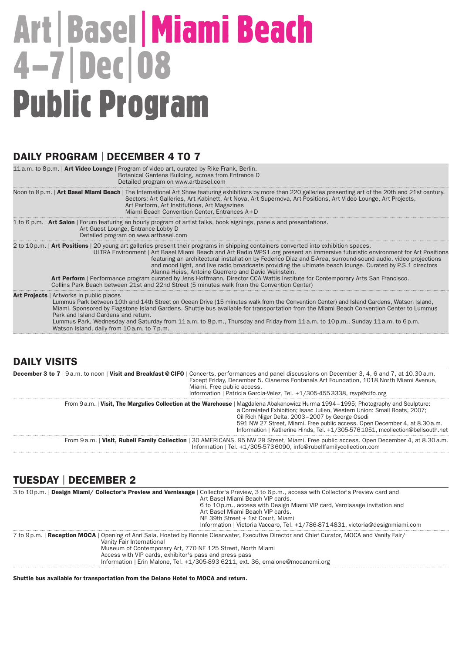# Art|Basel|Miami Beach 4–7|Dec|08 Public Program

#### DAILY PROGRAM | DECEMBER 4 TO 7

| 11 a.m. to 8 p.m.   Art Video Lounge   Program of video art, curated by Rike Frank, Berlin.<br>Botanical Gardens Building, across from Entrance D<br>Detailed program on www.artbasel.com                                                                                                                                                                                                                                                                                                                                                                                                                                                                                                                                                                                                    |
|----------------------------------------------------------------------------------------------------------------------------------------------------------------------------------------------------------------------------------------------------------------------------------------------------------------------------------------------------------------------------------------------------------------------------------------------------------------------------------------------------------------------------------------------------------------------------------------------------------------------------------------------------------------------------------------------------------------------------------------------------------------------------------------------|
| Noon to 8p.m.   Art Basel Miami Beach   The International Art Show featuring exhibitions by more than 220 galleries presenting art of the 20th and 21st century.<br>Sectors: Art Galleries, Art Kabinett, Art Nova, Art Supernova, Art Positions, Art Video Lounge, Art Projects,<br>Art Perform, Art Institutions, Art Magazines<br>Miami Beach Convention Center, Entrances A+D                                                                                                                                                                                                                                                                                                                                                                                                            |
| 1 to 6 p.m.   Art Salon   Forum featuring an hourly program of artist talks, book signings, panels and presentations.<br>Art Guest Lounge, Entrance Lobby D<br>Detailed program on www.artbasel.com                                                                                                                                                                                                                                                                                                                                                                                                                                                                                                                                                                                          |
| 2 to 10 p.m.   Art Positions   20 young art galleries present their programs in shipping containers converted into exhibition spaces.<br>ULTRA Environment   Art Basel Miami Beach and Art Radio WPS1.org present an immersive futuristic environment for Art Positions<br>featuring an architectural installation by Federico Díaz and E-Area, surround-sound audio, video projections<br>and mood light, and live radio broadcasts providing the ultimate beach lounge. Curated by P.S.1 directors<br>Alanna Heiss, Antoine Guerrero and David Weinstein.<br>Art Perform   Performance program curated by Jens Hoffmann, Director CCA Wattis Institute for Contemporary Arts San Francisco.<br>Collins Park Beach between 21st and 22nd Street (5 minutes walk from the Convention Center) |
| <b>Art Projects</b>   Artworks in public places<br>Lummus Park between 10th and 14th Street on Ocean Drive (15 minutes walk from the Convention Center) and Island Gardens, Watson Island,<br>Miami. Sponsored by Flagstone Island Gardens. Shuttle bus available for transportation from the Miami Beach Convention Center to Lummus<br>Park and Island Gardens and return.<br>Lummus Park, Wednesday and Saturday from 11 a.m. to 8 p.m., Thursday and Friday from 11 a.m. to 10 p.m., Sunday 11 a.m. to 6 p.m.<br>Watson Island, daily from 10 a.m. to 7 p.m.                                                                                                                                                                                                                             |

#### DAILY VISITS

| <b>December 3 to 7</b>   9a.m. to noon   Visit and Breakfast @ CIFO   Concerts, performances and panel discussions on December 3, 4, 6 and 7, at 10.30 a.m.<br>Except Friday, December 5. Cisneros Fontanals Art Foundation, 1018 North Miami Avenue,<br>Miami. Free public access.<br>Information   Patricia Garcia-Velez, Tel. +1/305-4553338, rsvp@cifo.org |                                                                                                                                                                                                                                                                                                                                                                                                                                 |
|----------------------------------------------------------------------------------------------------------------------------------------------------------------------------------------------------------------------------------------------------------------------------------------------------------------------------------------------------------------|---------------------------------------------------------------------------------------------------------------------------------------------------------------------------------------------------------------------------------------------------------------------------------------------------------------------------------------------------------------------------------------------------------------------------------|
|                                                                                                                                                                                                                                                                                                                                                                | From 9a.m.   Visit, The Margulies Collection at the Warehouse   Magdalena Abakanowicz Hurma 1994–1995; Photography and Sculpture:<br>a Correlated Exhibition; Isaac Julien, Western Union: Small Boats, 2007;<br>Oil Rich Niger Delta, 2003-2007 by George Osodi<br>591 NW 27 Street, Miami. Free public access. Open December 4, at 8.30 a.m.<br>Information   Katherine Hinds, Tel. +1/305-5761051, mcollection@bellsouth.net |
|                                                                                                                                                                                                                                                                                                                                                                | From 9a.m.   Visit, Rubell Family Collection   30 AMERICANS. 95 NW 29 Street, Miami. Free public access. Open December 4, at 8.30 a.m.<br>Information   Tel. +1/305-5736090, info@rubellfamilycollection.com                                                                                                                                                                                                                    |
|                                                                                                                                                                                                                                                                                                                                                                |                                                                                                                                                                                                                                                                                                                                                                                                                                 |

### TUESDAY | December 2

|                                                                                                                                                                                                                                                                                                                                                                                     |  | 3 to 10 p.m.   Design Miami/ Collector's Preview and Vernissage   Collector's Preview, 3 to 6 p.m., access with Collector's Preview card and<br>Art Basel Miami Beach VIP cards.<br>6 to 10 p.m., access with Design Miami VIP card, Vernissage invitation and<br>Art Basel Miami Beach VIP cards.<br>NE 39th Street + 1st Court, Miami<br>Information   Victoria Vaccaro, Tel. +1/786-8714831, victoria@designmiami.com |
|-------------------------------------------------------------------------------------------------------------------------------------------------------------------------------------------------------------------------------------------------------------------------------------------------------------------------------------------------------------------------------------|--|--------------------------------------------------------------------------------------------------------------------------------------------------------------------------------------------------------------------------------------------------------------------------------------------------------------------------------------------------------------------------------------------------------------------------|
| 7 to 9p.m.   Reception MOCA   Opening of Anri Sala. Hosted by Bonnie Clearwater, Executive Director and Chief Curator, MOCA and Vanity Fair/<br>Vanity Fair International<br>Museum of Contemporary Art, 770 NE 125 Street, North Miami<br>Access with VIP cards, exhibitor's pass and press pass<br>Information   Erin Malone, Tel. +1/305-893 6211, ext. 36, emalone@mocanomi.org |  |                                                                                                                                                                                                                                                                                                                                                                                                                          |

Shuttle bus available for transportation from the Delano Hotel to MOCA and return.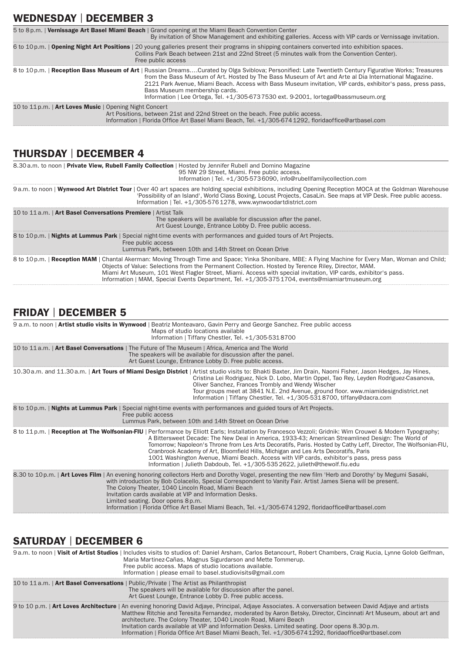## WEDNESDAY | DECEMBER 3

|                                                         | 5 to 8p.m.   Vernissage Art Basel Miami Beach   Grand opening at the Miami Beach Convention Center<br>By invitation of Show Management and exhibiting galleries. Access with VIP cards or Vernissage invitation.                                                                                                                                                                                                                                                                                    |
|---------------------------------------------------------|-----------------------------------------------------------------------------------------------------------------------------------------------------------------------------------------------------------------------------------------------------------------------------------------------------------------------------------------------------------------------------------------------------------------------------------------------------------------------------------------------------|
|                                                         | 6 to 10p.m.   Opening Night Art Positions   20 young galleries present their programs in shipping containers converted into exhibition spaces.<br>Collins Park Beach between 21st and 22nd Street (5 minutes walk from the Convention Center).<br>Free public access                                                                                                                                                                                                                                |
|                                                         | 8 to 10 p.m.   Reception Bass Museum of Art   Russian DreamsCurated by Olga Sviblova; Personified: Late Twentieth Century Figurative Works; Treasures<br>from the Bass Museum of Art. Hosted by The Bass Museum of Art and Arte al Dia International Magazine.<br>2121 Park Avenue, Miami Beach. Access with Bass Museum invitation, VIP cards, exhibitor's pass, press pass,<br>Bass Museum membership cards.<br>Information   Lee Ortega, Tel. +1/305-6737530 ext. 9-2001, lortega@bassmuseum.org |
| 10 to 11 p.m.   Art Loves Music   Opening Night Concert | Art Positions, between 21st and 22nd Street on the beach. Free public access.<br>Information   Florida Office Art Basel Miami Beach, Tel. +1/305-6741292, floridaoffice@artbasel.com                                                                                                                                                                                                                                                                                                                |

## THURSDAY | December 4

| 8.30 a.m. to noon   Private View, Rubell Family Collection   Hosted by Jennifer Rubell and Domino Magazine                                        | 95 NW 29 Street, Miami, Free public access.<br>Information   Tel. +1/305-5736090, info@rubellfamilycollection.com                                                                                                                                                                                                                                                                                                                                                              |
|---------------------------------------------------------------------------------------------------------------------------------------------------|--------------------------------------------------------------------------------------------------------------------------------------------------------------------------------------------------------------------------------------------------------------------------------------------------------------------------------------------------------------------------------------------------------------------------------------------------------------------------------|
|                                                                                                                                                   | 9a.m. to noon   Wynwood Art District Tour   Over 40 art spaces are holding special exhibitions, including Opening Reception MOCA at the Goldman Warehouse<br>'Possibility of an Island', World Class Boxing, Locust Projects, CasaLin. See maps at VIP Desk. Free public access.<br>Information   Tel. +1/305-5761278, www.wynwoodartdistrict.com                                                                                                                              |
| 10 to 11 a.m.   Art Basel Conversations Premiere   Artist Talk                                                                                    | The speakers will be available for discussion after the panel.<br>Art Guest Lounge, Entrance Lobby D. Free public access.                                                                                                                                                                                                                                                                                                                                                      |
| 8 to 10 p.m.   <b>Nights at Lummus Park</b>   Special night-time events with performances and guided tours of Art Projects.<br>Free public access | Lummus Park, between 10th and 14th Street on Ocean Drive                                                                                                                                                                                                                                                                                                                                                                                                                       |
|                                                                                                                                                   | 8 to 10 p.m.   Reception MAM   Chantal Akerman: Moving Through Time and Space; Yinka Shonibare, MBE: A Flying Machine for Every Man, Woman and Child;<br>Objects of Value: Selections from the Permanent Collection. Hosted by Terence Riley, Director, MAM.<br>Miami Art Museum, 101 West Flagler Street, Miami. Access with special invitation, VIP cards, exhibitor's pass.<br>Information   MAM, Special Events Department, Tel. +1/305-3751704, events@miamiartmuseum.org |

### FRIDAY | December 5

| 9 a.m. to noon   Artist studio visits in Wynwood   Beatriz Monteavaro, Gavin Perry and George Sanchez. Free public access<br>Maps of studio locations available<br>Information   Tiffany Chestler, Tel. +1/305-5318700                                                                                                                                                                                                                                                                                                                                                                                                                                 |
|--------------------------------------------------------------------------------------------------------------------------------------------------------------------------------------------------------------------------------------------------------------------------------------------------------------------------------------------------------------------------------------------------------------------------------------------------------------------------------------------------------------------------------------------------------------------------------------------------------------------------------------------------------|
| 10 to 11 a.m.   Art Basel Conversations   The Future of The Museum   Africa, America and The World<br>The speakers will be available for discussion after the panel.<br>Art Guest Lounge, Entrance Lobby D. Free public access.                                                                                                                                                                                                                                                                                                                                                                                                                        |
| 10.30 a.m. and 11.30 a.m.   Art Tours of Miami Design District   Artist studio visits to: Bhakti Baxter, Jim Drain, Naomi Fisher, Jason Hedges, Jay Hines,<br>Cristina Lei Rodriguez, Nick D. Lobo, Martin Oppel, Tao Rey, Leyden Rodriguez-Casanova,<br>Oliver Sanchez, Frances Trombly and Wendy Wischer<br>Tour groups meet at 3841 N.E. 2nd Avenue, ground floor, www.miamidesigndistrict.net<br>Information   Tiffany Chestler, Tel. +1/305-5318700, tiffany@dacra.com                                                                                                                                                                            |
| 8 to 10 p.m.   <b>Nights at Lummus Park</b>   Special night-time events with performances and guided tours of Art Projects.<br>Free public access<br>Lummus Park, between 10th and 14th Street on Ocean Drive                                                                                                                                                                                                                                                                                                                                                                                                                                          |
| 8 to 11 p.m.   Reception at The Wolfsonian-FIU   Performance by Elliott Earls; Installation by Francesco Vezzoli; Gridnik: Wim Crouwel & Modern Typography;<br>A Bittersweet Decade: The New Deal in America, 1933-43; American Streamlined Design: The World of<br>Tomorrow; Napoleon's Throne from Les Arts Decoratifs, Paris. Hosted by Cathy Leff, Director, The Wolfsonian-FIU,<br>Cranbrook Academy of Art, Bloomfield Hills, Michigan and Les Arts Decoratifs, Paris<br>1001 Washington Avenue, Miami Beach. Access with VIP cards, exhibitor's pass, press pass<br>Information   Julieth Dabdoub, Tel. +1/305-5352622, iulieth@thewolf.fiu.edu |
| 8.30 to 10 p.m.   Art Loves Film   An evening honoring collectors Herb and Dorothy Vogel, presenting the new film 'Herb and Dorothy' by Megumi Sasaki,<br>with introduction by Bob Colacello, Special Correspondent to Vanity Fair. Artist James Siena will be present.<br>The Colony Theater, 1040 Lincoln Road, Miami Beach<br>Invitation cards available at VIP and Information Desks.<br>Limited seating. Door opens 8 p.m.<br>Information   Florida Office Art Basel Miami Beach, Tel. +1/305-6741292, floridaoffice@artbasel.com                                                                                                                 |

# SATURDAY | DECEMBER 6

| 9a.m. to noon   Visit of Artist Studios   Includes visits to studios of: Daniel Arsham, Carlos Betancourt, Robert Chambers, Craig Kucia, Lynne Golob Gelfman,<br>Maria Martinez-Cañas, Magnus Sigurdarson and Mette Tommerup.<br>Free public access. Maps of studio locations available.<br>Information   please email to basel.studiovisits@gmail.com                                                                                                                                                                                                    |
|-----------------------------------------------------------------------------------------------------------------------------------------------------------------------------------------------------------------------------------------------------------------------------------------------------------------------------------------------------------------------------------------------------------------------------------------------------------------------------------------------------------------------------------------------------------|
| 10 to 11 a.m.   Art Basel Conversations   Public/Private   The Artist as Philanthropist<br>The speakers will be available for discussion after the panel.<br>Art Guest Lounge, Entrance Lobby D. Free public access.                                                                                                                                                                                                                                                                                                                                      |
| 9 to 10 p.m.   Art Loves Architecture   An evening honoring David Adjaye, Principal, Adjaye Associates. A conversation between David Adjaye and artists<br>Matthew Ritchie and Teresita Fernandez, moderated by Aaron Betsky, Director, Cincinnati Art Museum, about art and<br>architecture. The Colony Theater, 1040 Lincoln Road, Miami Beach<br>Invitation cards available at VIP and Information Desks. Limited seating. Door opens 8.30 p.m.<br>Information   Florida Office Art Basel Miami Beach, Tel. +1/305-6741292, floridaoffice@artbasel.com |